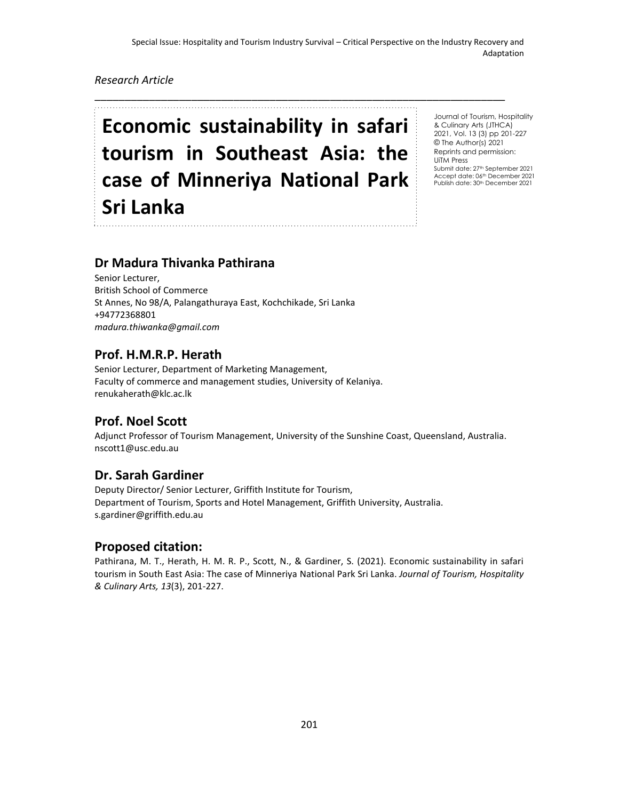\_\_\_\_\_\_\_\_\_\_\_\_\_\_\_\_\_\_\_\_\_\_\_\_\_\_\_\_\_\_\_\_\_\_\_\_\_\_\_\_\_\_\_\_\_\_\_\_\_\_\_\_\_\_\_\_\_\_\_\_\_\_\_\_\_\_\_\_

## *Research Article*

# **Economic sustainability in safari tourism in Southeast Asia: the case of Minneriya National Park Sri Lanka**

Journal of Tourism, Hospitality & Culinary Arts (JTHCA) 2021, Vol. 13 (3) pp 201-227 © The Author(s) 2021 Reprints and permission: UiTM Press Submit date: 27<sup>th</sup> September 2021 Accept date: 06th December 2021 Publish date: 30<sup>th</sup> December 2021

# **Dr Madura Thivanka Pathirana**

Senior Lecturer, British School of Commerce St Annes, No 98/A, Palangathuraya East, Kochchikade, Sri Lanka +94772368801 *madura.thiwanka@gmail.com*

## **Prof. H.M.R.P. Herath**

Senior Lecturer, Department of Marketing Management, Faculty of commerce and management studies, University of Kelaniya. renukaherath@klc.ac.lk

# **Prof. Noel Scott**

Adjunct Professor of Tourism Management, University of the Sunshine Coast, Queensland, Australia. nscott1@usc.edu.au

# **Dr. Sarah Gardiner**

Deputy Director/ Senior Lecturer, Griffith Institute for Tourism, Department of Tourism, Sports and Hotel Management, Griffith University, Australia. s.gardiner@griffith.edu.au

## **Proposed citation:**

Pathirana, M. T., Herath, H. M. R. P., Scott, N., & Gardiner, S. (2021). Economic sustainability in safari tourism in South East Asia: The case of Minneriya National Park Sri Lanka. *Journal of Tourism, Hospitality & Culinary Arts, 13*(3), 201-227.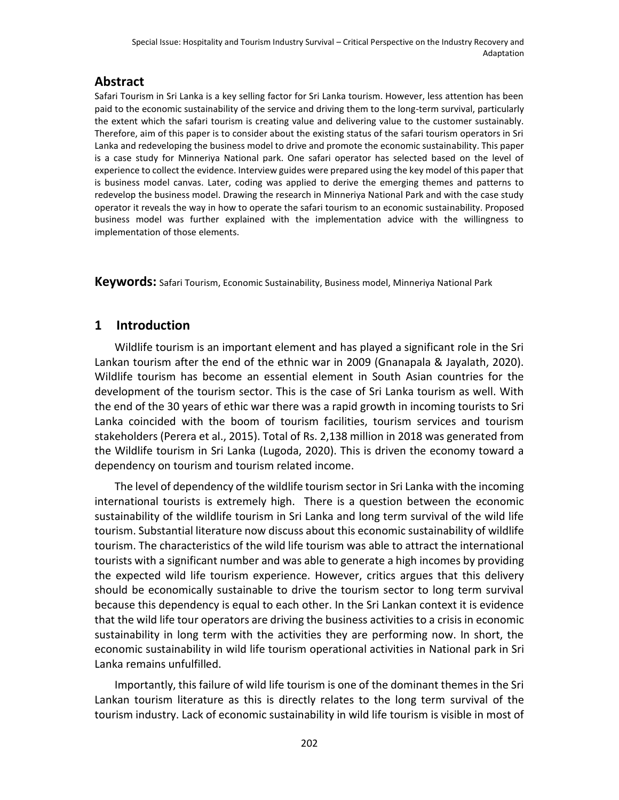# **Abstract**

Safari Tourism in Sri Lanka is a key selling factor for Sri Lanka tourism. However, less attention has been paid to the economic sustainability of the service and driving them to the long-term survival, particularly the extent which the safari tourism is creating value and delivering value to the customer sustainably. Therefore, aim of this paper is to consider about the existing status of the safari tourism operators in Sri Lanka and redeveloping the business model to drive and promote the economic sustainability. This paper is a case study for Minneriya National park. One safari operator has selected based on the level of experience to collect the evidence. Interview guides were prepared using the key model of this paper that is business model canvas. Later, coding was applied to derive the emerging themes and patterns to redevelop the business model. Drawing the research in Minneriya National Park and with the case study operator it reveals the way in how to operate the safari tourism to an economic sustainability. Proposed business model was further explained with the implementation advice with the willingness to implementation of those elements.

**Keywords:** Safari Tourism, Economic Sustainability, Business model, Minneriya National Park

# **1 Introduction**

Wildlife tourism is an important element and has played a significant role in the Sri Lankan tourism after the end of the ethnic war in 2009 (Gnanapala & Jayalath, 2020). Wildlife tourism has become an essential element in South Asian countries for the development of the tourism sector. This is the case of Sri Lanka tourism as well. With the end of the 30 years of ethic war there was a rapid growth in incoming tourists to Sri Lanka coincided with the boom of tourism facilities, tourism services and tourism stakeholders (Perera et al., 2015). Total of Rs. 2,138 million in 2018 was generated from the Wildlife tourism in Sri Lanka (Lugoda, 2020). This is driven the economy toward a dependency on tourism and tourism related income.

The level of dependency of the wildlife tourism sector in Sri Lanka with the incoming international tourists is extremely high. There is a question between the economic sustainability of the wildlife tourism in Sri Lanka and long term survival of the wild life tourism. Substantial literature now discuss about this economic sustainability of wildlife tourism. The characteristics of the wild life tourism was able to attract the international tourists with a significant number and was able to generate a high incomes by providing the expected wild life tourism experience. However, critics argues that this delivery should be economically sustainable to drive the tourism sector to long term survival because this dependency is equal to each other. In the Sri Lankan context it is evidence that the wild life tour operators are driving the business activities to a crisis in economic sustainability in long term with the activities they are performing now. In short, the economic sustainability in wild life tourism operational activities in National park in Sri Lanka remains unfulfilled.

Importantly, this failure of wild life tourism is one of the dominant themes in the Sri Lankan tourism literature as this is directly relates to the long term survival of the tourism industry. Lack of economic sustainability in wild life tourism is visible in most of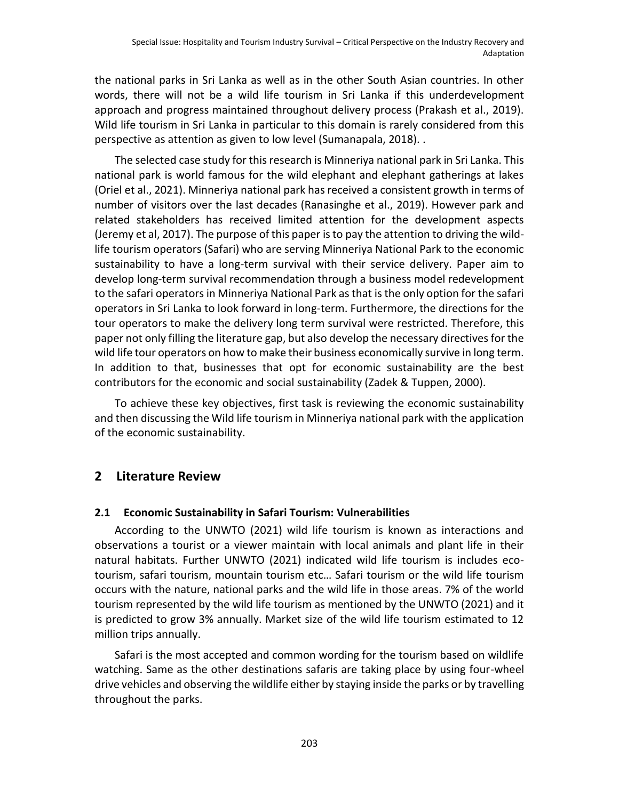the national parks in Sri Lanka as well as in the other South Asian countries. In other words, there will not be a wild life tourism in Sri Lanka if this underdevelopment approach and progress maintained throughout delivery process (Prakash et al., 2019). Wild life tourism in Sri Lanka in particular to this domain is rarely considered from this perspective as attention as given to low level (Sumanapala, 2018). .

The selected case study for this research is Minneriya national park in Sri Lanka. This national park is world famous for the wild elephant and elephant gatherings at lakes (Oriel et al., 2021). Minneriya national park has received a consistent growth in terms of number of visitors over the last decades (Ranasinghe et al., 2019). However park and related stakeholders has received limited attention for the development aspects (Jeremy et al, 2017). The purpose of this paper is to pay the attention to driving the wildlife tourism operators (Safari) who are serving Minneriya National Park to the economic sustainability to have a long-term survival with their service delivery. Paper aim to develop long-term survival recommendation through a business model redevelopment to the safari operators in Minneriya National Park as that is the only option for the safari operators in Sri Lanka to look forward in long-term. Furthermore, the directions for the tour operators to make the delivery long term survival were restricted. Therefore, this paper not only filling the literature gap, but also develop the necessary directives for the wild life tour operators on how to make their business economically survive in long term. In addition to that, businesses that opt for economic sustainability are the best contributors for the economic and social sustainability (Zadek & Tuppen, 2000).

To achieve these key objectives, first task is reviewing the economic sustainability and then discussing the Wild life tourism in Minneriya national park with the application of the economic sustainability.

# **2 Literature Review**

## **2.1 Economic Sustainability in Safari Tourism: Vulnerabilities**

According to the UNWTO (2021) wild life tourism is known as interactions and observations a tourist or a viewer maintain with local animals and plant life in their natural habitats. Further UNWTO (2021) indicated wild life tourism is includes ecotourism, safari tourism, mountain tourism etc… Safari tourism or the wild life tourism occurs with the nature, national parks and the wild life in those areas. 7% of the world tourism represented by the wild life tourism as mentioned by the UNWTO (2021) and it is predicted to grow 3% annually. Market size of the wild life tourism estimated to 12 million trips annually.

Safari is the most accepted and common wording for the tourism based on wildlife watching. Same as the other destinations safaris are taking place by using four-wheel drive vehicles and observing the wildlife either by staying inside the parks or by travelling throughout the parks.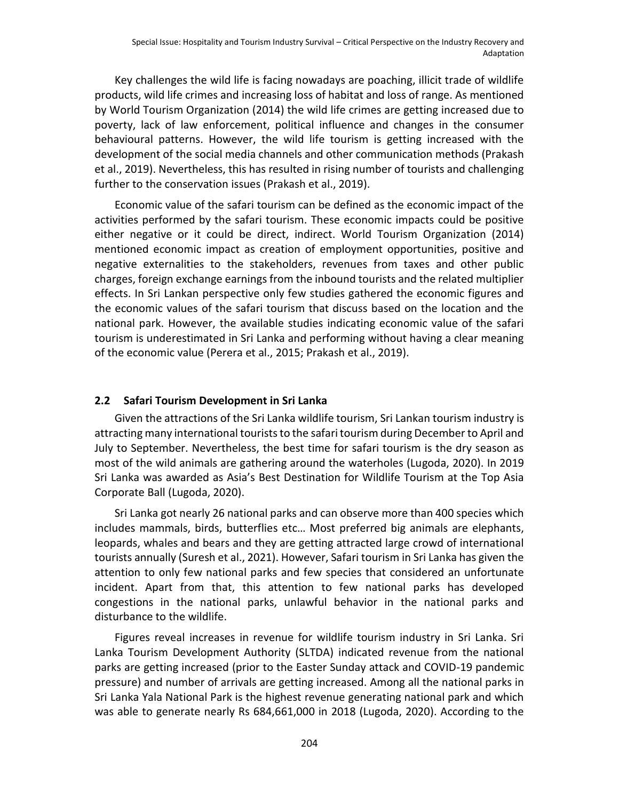Key challenges the wild life is facing nowadays are poaching, illicit trade of wildlife products, wild life crimes and increasing loss of habitat and loss of range. As mentioned by World Tourism Organization (2014) the wild life crimes are getting increased due to poverty, lack of law enforcement, political influence and changes in the consumer behavioural patterns. However, the wild life tourism is getting increased with the development of the social media channels and other communication methods (Prakash et al., 2019). Nevertheless, this has resulted in rising number of tourists and challenging further to the conservation issues (Prakash et al., 2019).

Economic value of the safari tourism can be defined as the economic impact of the activities performed by the safari tourism. These economic impacts could be positive either negative or it could be direct, indirect. World Tourism Organization (2014) mentioned economic impact as creation of employment opportunities, positive and negative externalities to the stakeholders, revenues from taxes and other public charges, foreign exchange earnings from the inbound tourists and the related multiplier effects. In Sri Lankan perspective only few studies gathered the economic figures and the economic values of the safari tourism that discuss based on the location and the national park. However, the available studies indicating economic value of the safari tourism is underestimated in Sri Lanka and performing without having a clear meaning of the economic value (Perera et al., 2015; Prakash et al., 2019).

#### **2.2 Safari Tourism Development in Sri Lanka**

Given the attractions of the Sri Lanka wildlife tourism, Sri Lankan tourism industry is attracting many international tourists to the safari tourism during December to April and July to September. Nevertheless, the best time for safari tourism is the dry season as most of the wild animals are gathering around the waterholes (Lugoda, 2020). In 2019 Sri Lanka was awarded as Asia's Best Destination for Wildlife Tourism at the Top Asia Corporate Ball (Lugoda, 2020).

Sri Lanka got nearly 26 national parks and can observe more than 400 species which includes mammals, birds, butterflies etc… Most preferred big animals are elephants, leopards, whales and bears and they are getting attracted large crowd of international tourists annually (Suresh et al., 2021). However, Safari tourism in Sri Lanka has given the attention to only few national parks and few species that considered an unfortunate incident. Apart from that, this attention to few national parks has developed congestions in the national parks, unlawful behavior in the national parks and disturbance to the wildlife.

Figures reveal increases in revenue for wildlife tourism industry in Sri Lanka. Sri Lanka Tourism Development Authority (SLTDA) indicated revenue from the national parks are getting increased (prior to the Easter Sunday attack and COVID-19 pandemic pressure) and number of arrivals are getting increased. Among all the national parks in Sri Lanka Yala National Park is the highest revenue generating national park and which was able to generate nearly Rs 684,661,000 in 2018 (Lugoda, 2020). According to the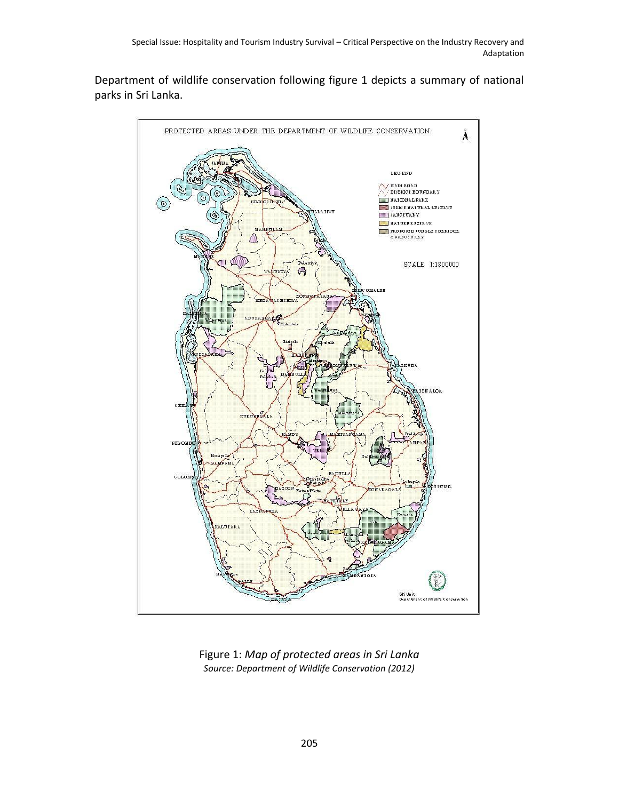Department of wildlife conservation following figure 1 depicts a summary of national parks in Sri Lanka.



Figure 1: *Map of protected areas in Sri Lanka Source: Department of Wildlife Conservation (2012)*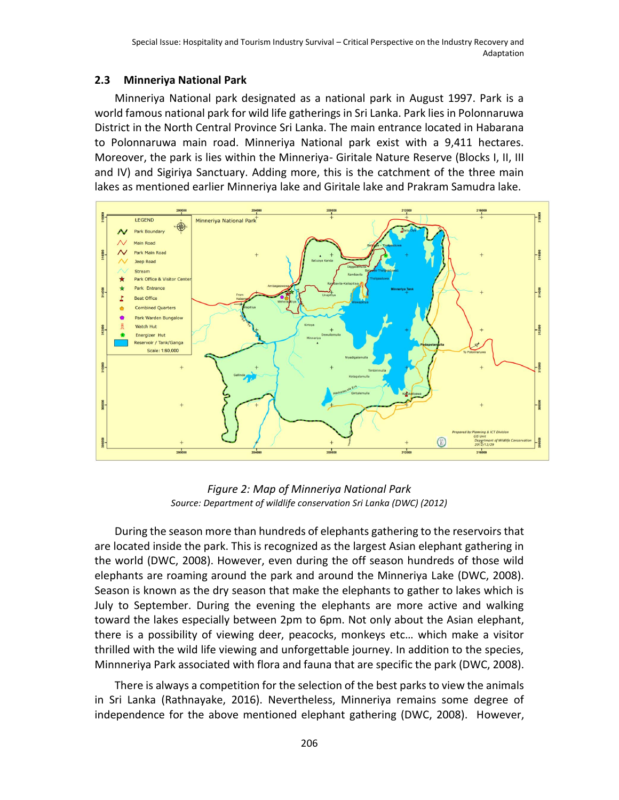## **2.3 Minneriya National Park**

Minneriya National park designated as a national park in August 1997. Park is a world famous national park for wild life gatherings in Sri Lanka. Park lies in Polonnaruwa District in the North Central Province Sri Lanka. The main entrance located in Habarana to Polonnaruwa main road. Minneriya National park exist with a 9,411 hectares. Moreover, the park is lies within the Minneriya- Giritale Nature Reserve (Blocks I, II, III and IV) and Sigiriya Sanctuary. Adding more, this is the catchment of the three main lakes as mentioned earlier Minneriya lake and Giritale lake and Prakram Samudra lake.



*Figure 2: Map of Minneriya National Park Source: Department of wildlife conservation Sri Lanka (DWC) (2012)*

During the season more than hundreds of elephants gathering to the reservoirs that are located inside the park. This is recognized as the largest Asian elephant gathering in the world (DWC, 2008). However, even during the off season hundreds of those wild elephants are roaming around the park and around the Minneriya Lake (DWC, 2008). Season is known as the dry season that make the elephants to gather to lakes which is July to September. During the evening the elephants are more active and walking toward the lakes especially between 2pm to 6pm. Not only about the Asian elephant, there is a possibility of viewing deer, peacocks, monkeys etc… which make a visitor thrilled with the wild life viewing and unforgettable journey. In addition to the species, Minnneriya Park associated with flora and fauna that are specific the park (DWC, 2008).

There is always a competition for the selection of the best parks to view the animals in Sri Lanka (Rathnayake, 2016). Nevertheless, Minneriya remains some degree of independence for the above mentioned elephant gathering (DWC, 2008). However,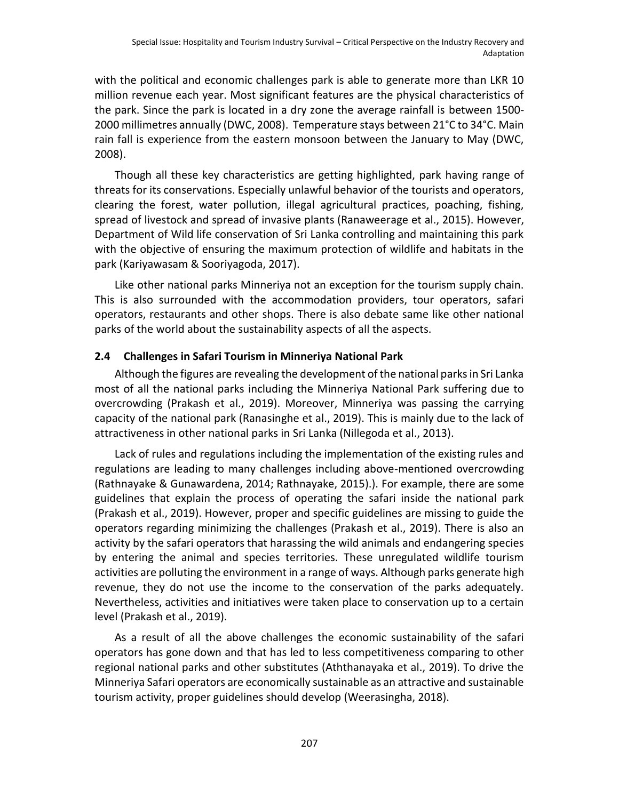with the political and economic challenges park is able to generate more than LKR 10 million revenue each year. Most significant features are the physical characteristics of the park. Since the park is located in a dry zone the average rainfall is between 1500- 2000 millimetres annually (DWC, 2008). Temperature stays between 21°C to 34°C. Main rain fall is experience from the eastern monsoon between the January to May (DWC, 2008).

Though all these key characteristics are getting highlighted, park having range of threats for its conservations. Especially unlawful behavior of the tourists and operators, clearing the forest, water pollution, illegal agricultural practices, poaching, fishing, spread of livestock and spread of invasive plants (Ranaweerage et al., 2015). However, Department of Wild life conservation of Sri Lanka controlling and maintaining this park with the objective of ensuring the maximum protection of wildlife and habitats in the park (Kariyawasam & Sooriyagoda, 2017).

Like other national parks Minneriya not an exception for the tourism supply chain. This is also surrounded with the accommodation providers, tour operators, safari operators, restaurants and other shops. There is also debate same like other national parks of the world about the sustainability aspects of all the aspects.

## **2.4 Challenges in Safari Tourism in Minneriya National Park**

Although the figures are revealing the development of the national parks in Sri Lanka most of all the national parks including the Minneriya National Park suffering due to overcrowding (Prakash et al., 2019). Moreover, Minneriya was passing the carrying capacity of the national park (Ranasinghe et al., 2019). This is mainly due to the lack of attractiveness in other national parks in Sri Lanka (Nillegoda et al., 2013).

Lack of rules and regulations including the implementation of the existing rules and regulations are leading to many challenges including above-mentioned overcrowding (Rathnayake & Gunawardena, 2014; Rathnayake, 2015).). For example, there are some guidelines that explain the process of operating the safari inside the national park (Prakash et al., 2019). However, proper and specific guidelines are missing to guide the operators regarding minimizing the challenges (Prakash et al., 2019). There is also an activity by the safari operators that harassing the wild animals and endangering species by entering the animal and species territories. These unregulated wildlife tourism activities are polluting the environment in a range of ways. Although parks generate high revenue, they do not use the income to the conservation of the parks adequately. Nevertheless, activities and initiatives were taken place to conservation up to a certain level (Prakash et al., 2019).

As a result of all the above challenges the economic sustainability of the safari operators has gone down and that has led to less competitiveness comparing to other regional national parks and other substitutes (Aththanayaka et al., 2019). To drive the Minneriya Safari operators are economically sustainable as an attractive and sustainable tourism activity, proper guidelines should develop (Weerasingha, 2018).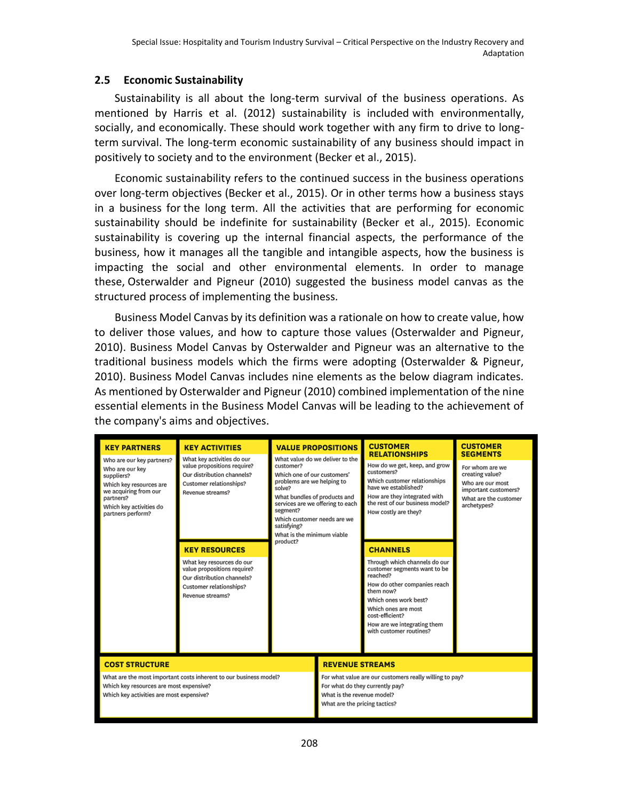## **2.5 Economic Sustainability**

Sustainability is all about the long-term survival of the business operations. As mentioned by Harris et al. (2012) sustainability is included with environmentally, socially, and economically. These should work together with any firm to drive to longterm survival. The long-term economic sustainability of any business should impact in positively to society and to the environment (Becker et al., 2015).

Economic sustainability refers to the continued success in the business operations over long-term objectives (Becker et al., 2015). Or in other terms how a business stays in a business for the long term. All the activities that are performing for economic sustainability should be indefinite for sustainability (Becker et al., 2015). Economic sustainability is covering up the internal financial aspects, the performance of the business, how it manages all the tangible and intangible aspects, how the business is impacting the social and other environmental elements. In order to manage these, Osterwalder and Pigneur (2010) suggested the business model canvas as the structured process of implementing the business.

Business Model Canvas by its definition was a rationale on how to create value, how to deliver those values, and how to capture those values (Osterwalder and Pigneur, 2010). Business Model Canvas by Osterwalder and Pigneur was an alternative to the traditional business models which the firms were adopting (Osterwalder & Pigneur, 2010). Business Model Canvas includes nine elements as the below diagram indicates. As mentioned by Osterwalder and Pigneur (2010) combined implementation of the nine essential elements in the Business Model Canvas will be leading to the achievement of the company's aims and objectives.

| <b>KEY PARTNERS</b>                                                                                                                                                         | <b>KEY ACTIVITIES</b>                                                                                                                  |                                                                                                                                                                                                                                                                                             | <b>VALUE PROPOSITIONS</b>                                   | <b>CUSTOMER</b><br><b>RELATIONSHIPS</b>                                                                                                                                                                                                             | <b>CUSTOMER</b><br><b>SEGMENTS</b> |                                                                                                                                                                                                                                                                                                                          |  |
|-----------------------------------------------------------------------------------------------------------------------------------------------------------------------------|----------------------------------------------------------------------------------------------------------------------------------------|---------------------------------------------------------------------------------------------------------------------------------------------------------------------------------------------------------------------------------------------------------------------------------------------|-------------------------------------------------------------|-----------------------------------------------------------------------------------------------------------------------------------------------------------------------------------------------------------------------------------------------------|------------------------------------|--------------------------------------------------------------------------------------------------------------------------------------------------------------------------------------------------------------------------------------------------------------------------------------------------------------------------|--|
| Who are our key partners?<br>Who are our key<br>suppliers?<br>Which key resources are<br>we acquiring from our<br>partners?<br>Which key activities do<br>partners perform? | What key activities do our<br>value propositions require?<br>Our distribution channels?<br>Customer relationships?<br>Revenue streams? | What value do we deliver to the<br>customer?<br>Which one of our customers'<br>problems are we helping to<br>solve?<br>What bundles of products and<br>services are we offering to each<br>segment?<br>Which customer needs are we<br>satisfying?<br>What is the minimum viable<br>product? |                                                             |                                                                                                                                                                                                                                                     |                                    | How do we get, keep, and grow<br>For whom are we<br>customers?<br>creating value?<br>Which customer relationships<br>Who are our most<br>have we established?<br>important customers?<br>How are they integrated with<br>What are the customer<br>the rest of our business model?<br>archetypes?<br>How costly are they? |  |
|                                                                                                                                                                             | <b>KEY RESOURCES</b>                                                                                                                   |                                                                                                                                                                                                                                                                                             |                                                             | <b>CHANNELS</b>                                                                                                                                                                                                                                     |                                    |                                                                                                                                                                                                                                                                                                                          |  |
|                                                                                                                                                                             | What key resources do our<br>value propositions require?<br>Our distribution channels?<br>Customer relationships?<br>Revenue streams?  |                                                                                                                                                                                                                                                                                             |                                                             | Through which channels do our<br>customer segments want to be<br>reached?<br>How do other companies reach<br>them now?<br>Which ones work best?<br>Which ones are most<br>cost-efficient?<br>How are we integrating them<br>with customer routines? |                                    |                                                                                                                                                                                                                                                                                                                          |  |
| <b>COST STRUCTURE</b>                                                                                                                                                       |                                                                                                                                        |                                                                                                                                                                                                                                                                                             | <b>REVENUE STREAMS</b>                                      |                                                                                                                                                                                                                                                     |                                    |                                                                                                                                                                                                                                                                                                                          |  |
| What are the most important costs inherent to our business model?<br>Which key resources are most expensive?<br>Which key activities are most expensive?                    |                                                                                                                                        |                                                                                                                                                                                                                                                                                             | What is the revenue model?<br>What are the pricing tactics? | For what value are our customers really willing to pay?<br>For what do they currently pay?                                                                                                                                                          |                                    |                                                                                                                                                                                                                                                                                                                          |  |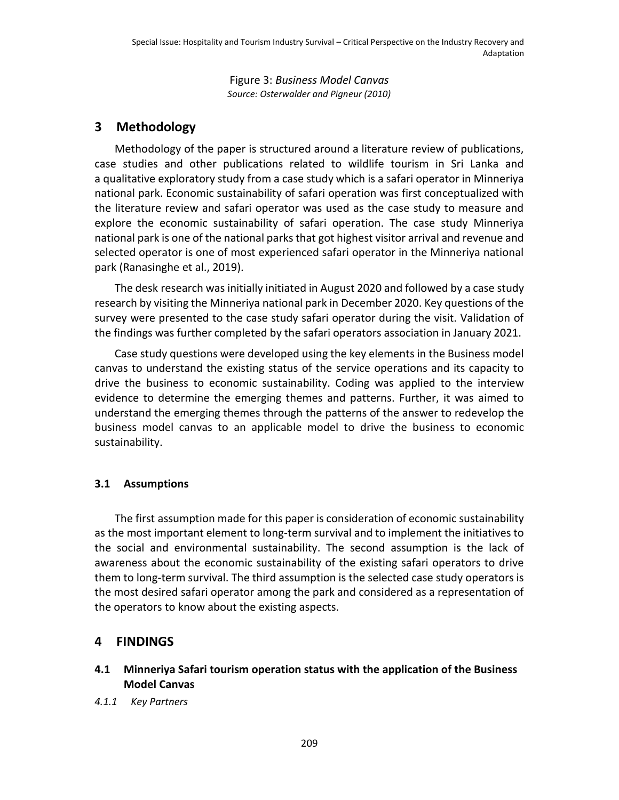Figure 3: *Business Model Canvas Source: Osterwalder and Pigneur (2010)*

# **3 Methodology**

Methodology of the paper is structured around a literature review of publications, case studies and other publications related to wildlife tourism in Sri Lanka and a qualitative exploratory study from a case study which is a safari operator in Minneriya national park. Economic sustainability of safari operation was first conceptualized with the literature review and safari operator was used as the case study to measure and explore the economic sustainability of safari operation. The case study Minneriya national park is one of the national parks that got highest visitor arrival and revenue and selected operator is one of most experienced safari operator in the Minneriya national park (Ranasinghe et al., 2019).

The desk research was initially initiated in August 2020 and followed by a case study research by visiting the Minneriya national park in December 2020. Key questions of the survey were presented to the case study safari operator during the visit. Validation of the findings was further completed by the safari operators association in January 2021.

Case study questions were developed using the key elements in the Business model canvas to understand the existing status of the service operations and its capacity to drive the business to economic sustainability. Coding was applied to the interview evidence to determine the emerging themes and patterns. Further, it was aimed to understand the emerging themes through the patterns of the answer to redevelop the business model canvas to an applicable model to drive the business to economic sustainability.

## **3.1 Assumptions**

The first assumption made for this paper is consideration of economic sustainability as the most important element to long-term survival and to implement the initiatives to the social and environmental sustainability. The second assumption is the lack of awareness about the economic sustainability of the existing safari operators to drive them to long-term survival. The third assumption is the selected case study operators is the most desired safari operator among the park and considered as a representation of the operators to know about the existing aspects.

# **4 FINDINGS**

## **4.1 Minneriya Safari tourism operation status with the application of the Business Model Canvas**

*4.1.1 Key Partners*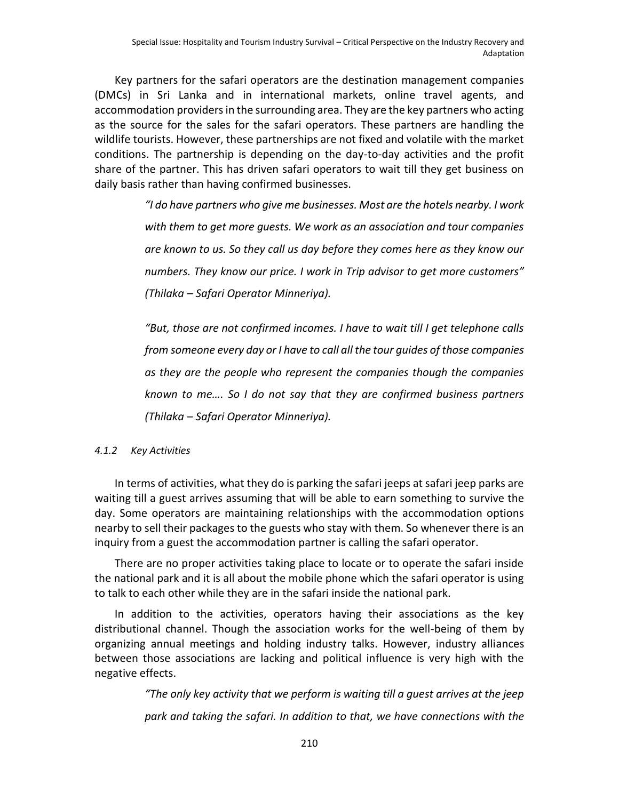Key partners for the safari operators are the destination management companies (DMCs) in Sri Lanka and in international markets, online travel agents, and accommodation providers in the surrounding area. They are the key partners who acting as the source for the sales for the safari operators. These partners are handling the wildlife tourists. However, these partnerships are not fixed and volatile with the market conditions. The partnership is depending on the day-to-day activities and the profit share of the partner. This has driven safari operators to wait till they get business on daily basis rather than having confirmed businesses.

> *"I do have partners who give me businesses. Most are the hotels nearby. I work with them to get more guests. We work as an association and tour companies are known to us. So they call us day before they comes here as they know our numbers. They know our price. I work in Trip advisor to get more customers" (Thilaka – Safari Operator Minneriya).*

> *"But, those are not confirmed incomes. I have to wait till I get telephone calls from someone every day or I have to call all the tour guides of those companies as they are the people who represent the companies though the companies known to me…. So I do not say that they are confirmed business partners (Thilaka – Safari Operator Minneriya).*

#### *4.1.2 Key Activities*

In terms of activities, what they do is parking the safari jeeps at safari jeep parks are waiting till a guest arrives assuming that will be able to earn something to survive the day. Some operators are maintaining relationships with the accommodation options nearby to sell their packages to the guests who stay with them. So whenever there is an inquiry from a guest the accommodation partner is calling the safari operator.

There are no proper activities taking place to locate or to operate the safari inside the national park and it is all about the mobile phone which the safari operator is using to talk to each other while they are in the safari inside the national park.

In addition to the activities, operators having their associations as the key distributional channel. Though the association works for the well-being of them by organizing annual meetings and holding industry talks. However, industry alliances between those associations are lacking and political influence is very high with the negative effects.

> *"The only key activity that we perform is waiting till a guest arrives at the jeep park and taking the safari. In addition to that, we have connections with the*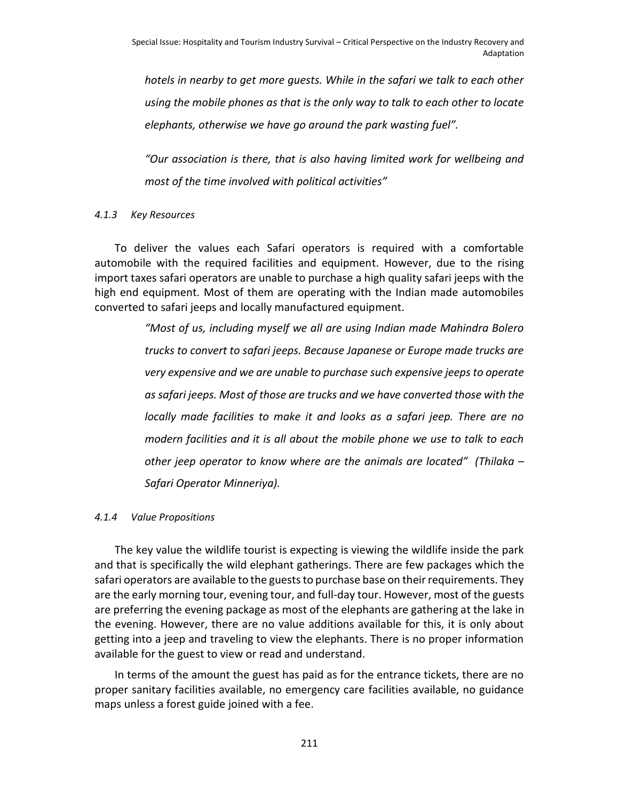*hotels in nearby to get more guests. While in the safari we talk to each other using the mobile phones as that is the only way to talk to each other to locate elephants, otherwise we have go around the park wasting fuel".* 

*"Our association is there, that is also having limited work for wellbeing and most of the time involved with political activities"* 

#### *4.1.3 Key Resources*

To deliver the values each Safari operators is required with a comfortable automobile with the required facilities and equipment. However, due to the rising import taxes safari operators are unable to purchase a high quality safari jeeps with the high end equipment. Most of them are operating with the Indian made automobiles converted to safari jeeps and locally manufactured equipment.

> *"Most of us, including myself we all are using Indian made Mahindra Bolero trucks to convert to safari jeeps. Because Japanese or Europe made trucks are very expensive and we are unable to purchase such expensive jeeps to operate as safari jeeps. Most of those are trucks and we have converted those with the locally made facilities to make it and looks as a safari jeep. There are no modern facilities and it is all about the mobile phone we use to talk to each other jeep operator to know where are the animals are located" (Thilaka – Safari Operator Minneriya).*

#### *4.1.4 Value Propositions*

The key value the wildlife tourist is expecting is viewing the wildlife inside the park and that is specifically the wild elephant gatherings. There are few packages which the safari operators are available to the guests to purchase base on their requirements. They are the early morning tour, evening tour, and full-day tour. However, most of the guests are preferring the evening package as most of the elephants are gathering at the lake in the evening. However, there are no value additions available for this, it is only about getting into a jeep and traveling to view the elephants. There is no proper information available for the guest to view or read and understand.

In terms of the amount the guest has paid as for the entrance tickets, there are no proper sanitary facilities available, no emergency care facilities available, no guidance maps unless a forest guide joined with a fee.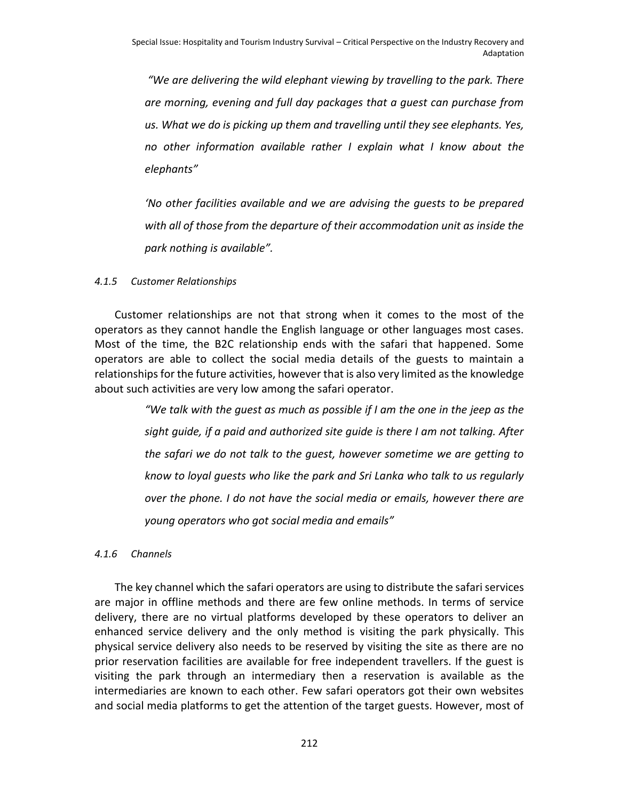*"We are delivering the wild elephant viewing by travelling to the park. There are morning, evening and full day packages that a guest can purchase from us. What we do is picking up them and travelling until they see elephants. Yes, no other information available rather I explain what I know about the elephants"* 

*'No other facilities available and we are advising the guests to be prepared with all of those from the departure of their accommodation unit as inside the park nothing is available".* 

## *4.1.5 Customer Relationships*

Customer relationships are not that strong when it comes to the most of the operators as they cannot handle the English language or other languages most cases. Most of the time, the B2C relationship ends with the safari that happened. Some operators are able to collect the social media details of the guests to maintain a relationships for the future activities, however that is also very limited as the knowledge about such activities are very low among the safari operator.

> *"We talk with the guest as much as possible if I am the one in the jeep as the sight guide, if a paid and authorized site guide is there I am not talking. After the safari we do not talk to the guest, however sometime we are getting to know to loyal guests who like the park and Sri Lanka who talk to us regularly over the phone. I do not have the social media or emails, however there are young operators who got social media and emails"*

#### *4.1.6 Channels*

The key channel which the safari operators are using to distribute the safari services are major in offline methods and there are few online methods. In terms of service delivery, there are no virtual platforms developed by these operators to deliver an enhanced service delivery and the only method is visiting the park physically. This physical service delivery also needs to be reserved by visiting the site as there are no prior reservation facilities are available for free independent travellers. If the guest is visiting the park through an intermediary then a reservation is available as the intermediaries are known to each other. Few safari operators got their own websites and social media platforms to get the attention of the target guests. However, most of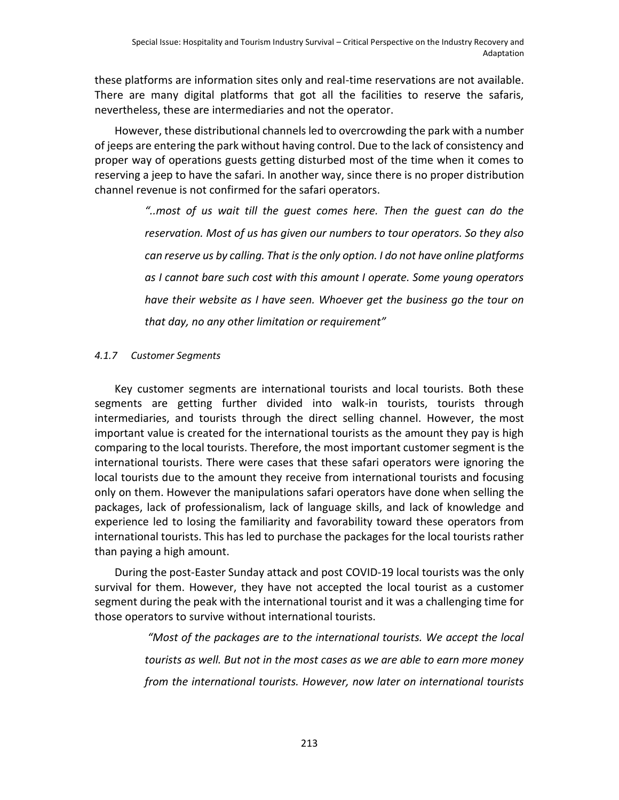these platforms are information sites only and real-time reservations are not available. There are many digital platforms that got all the facilities to reserve the safaris, nevertheless, these are intermediaries and not the operator.

However, these distributional channels led to overcrowding the park with a number of jeeps are entering the park without having control. Due to the lack of consistency and proper way of operations guests getting disturbed most of the time when it comes to reserving a jeep to have the safari. In another way, since there is no proper distribution channel revenue is not confirmed for the safari operators.

> *"..most of us wait till the guest comes here. Then the guest can do the reservation. Most of us has given our numbers to tour operators. So they also can reserve us by calling. That isthe only option. I do not have online platforms as I cannot bare such cost with this amount I operate. Some young operators have their website as I have seen. Whoever get the business go the tour on that day, no any other limitation or requirement"*

## *4.1.7 Customer Segments*

Key customer segments are international tourists and local tourists. Both these segments are getting further divided into walk-in tourists, tourists through intermediaries, and tourists through the direct selling channel. However, the most important value is created for the international tourists as the amount they pay is high comparing to the local tourists. Therefore, the most important customer segment is the international tourists. There were cases that these safari operators were ignoring the local tourists due to the amount they receive from international tourists and focusing only on them. However the manipulations safari operators have done when selling the packages, lack of professionalism, lack of language skills, and lack of knowledge and experience led to losing the familiarity and favorability toward these operators from international tourists. This has led to purchase the packages for the local tourists rather than paying a high amount.

During the post-Easter Sunday attack and post COVID-19 local tourists was the only survival for them. However, they have not accepted the local tourist as a customer segment during the peak with the international tourist and it was a challenging time for those operators to survive without international tourists.

> *"Most of the packages are to the international tourists. We accept the local tourists as well. But not in the most cases as we are able to earn more money from the international tourists. However, now later on international tourists*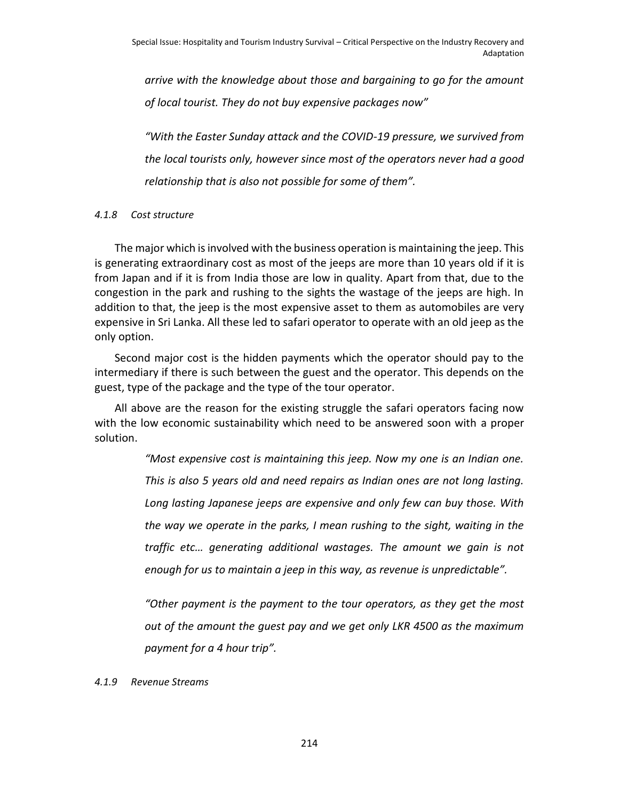*arrive with the knowledge about those and bargaining to go for the amount of local tourist. They do not buy expensive packages now"*

*"With the Easter Sunday attack and the COVID-19 pressure, we survived from the local tourists only, however since most of the operators never had a good relationship that is also not possible for some of them".* 

#### *4.1.8 Cost structure*

The major which is involved with the business operation is maintaining the jeep. This is generating extraordinary cost as most of the jeeps are more than 10 years old if it is from Japan and if it is from India those are low in quality. Apart from that, due to the congestion in the park and rushing to the sights the wastage of the jeeps are high. In addition to that, the jeep is the most expensive asset to them as automobiles are very expensive in Sri Lanka. All these led to safari operator to operate with an old jeep as the only option.

Second major cost is the hidden payments which the operator should pay to the intermediary if there is such between the guest and the operator. This depends on the guest, type of the package and the type of the tour operator.

All above are the reason for the existing struggle the safari operators facing now with the low economic sustainability which need to be answered soon with a proper solution.

> *"Most expensive cost is maintaining this jeep. Now my one is an Indian one. This is also 5 years old and need repairs as Indian ones are not long lasting. Long lasting Japanese jeeps are expensive and only few can buy those. With the way we operate in the parks, I mean rushing to the sight, waiting in the traffic etc… generating additional wastages. The amount we gain is not enough for us to maintain a jeep in this way, as revenue is unpredictable".*

> *"Other payment is the payment to the tour operators, as they get the most out of the amount the guest pay and we get only LKR 4500 as the maximum payment for a 4 hour trip".*

*4.1.9 Revenue Streams*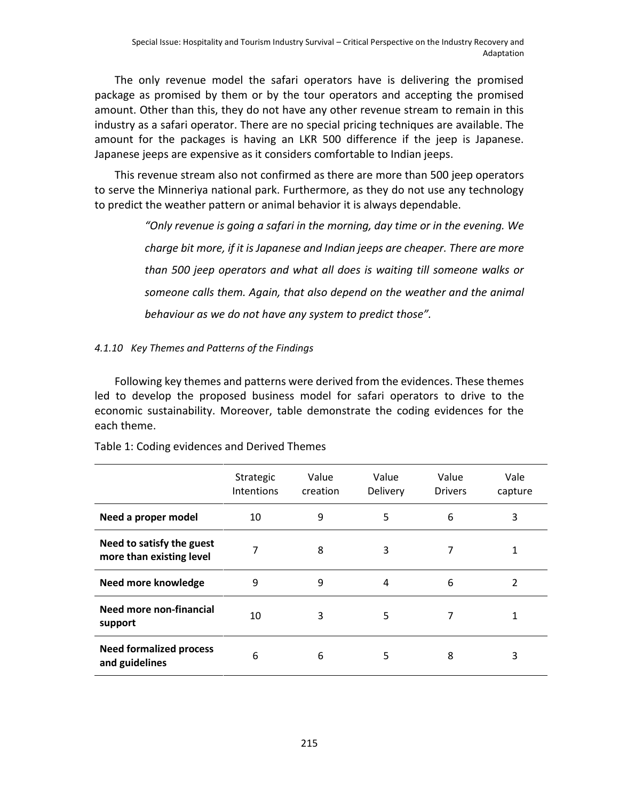The only revenue model the safari operators have is delivering the promised package as promised by them or by the tour operators and accepting the promised amount. Other than this, they do not have any other revenue stream to remain in this industry as a safari operator. There are no special pricing techniques are available. The amount for the packages is having an LKR 500 difference if the jeep is Japanese. Japanese jeeps are expensive as it considers comfortable to Indian jeeps.

This revenue stream also not confirmed as there are more than 500 jeep operators to serve the Minneriya national park. Furthermore, as they do not use any technology to predict the weather pattern or animal behavior it is always dependable.

> *"Only revenue is going a safari in the morning, day time or in the evening. We charge bit more, if it is Japanese and Indian jeeps are cheaper. There are more than 500 jeep operators and what all does is waiting till someone walks or someone calls them. Again, that also depend on the weather and the animal behaviour as we do not have any system to predict those".*

## *4.1.10 Key Themes and Patterns of the Findings*

Following key themes and patterns were derived from the evidences. These themes led to develop the proposed business model for safari operators to drive to the economic sustainability. Moreover, table demonstrate the coding evidences for the each theme.

|                                                       | Strategic<br>Intentions | Value<br>creation | Value<br>Delivery | Value<br><b>Drivers</b> | Vale<br>capture |
|-------------------------------------------------------|-------------------------|-------------------|-------------------|-------------------------|-----------------|
| Need a proper model                                   | 10                      | 9                 | 5                 | 6                       | 3               |
| Need to satisfy the guest<br>more than existing level | 7                       | 8                 | 3                 | 7                       | 1               |
| Need more knowledge                                   | 9                       | 9                 | 4                 | 6                       | 2               |
| Need more non-financial<br>support                    | 10                      | 3                 | 5                 | 7                       | 1               |
| <b>Need formalized process</b><br>and guidelines      | 6                       | 6                 | 5                 | 8                       | 3               |

Table 1: Coding evidences and Derived Themes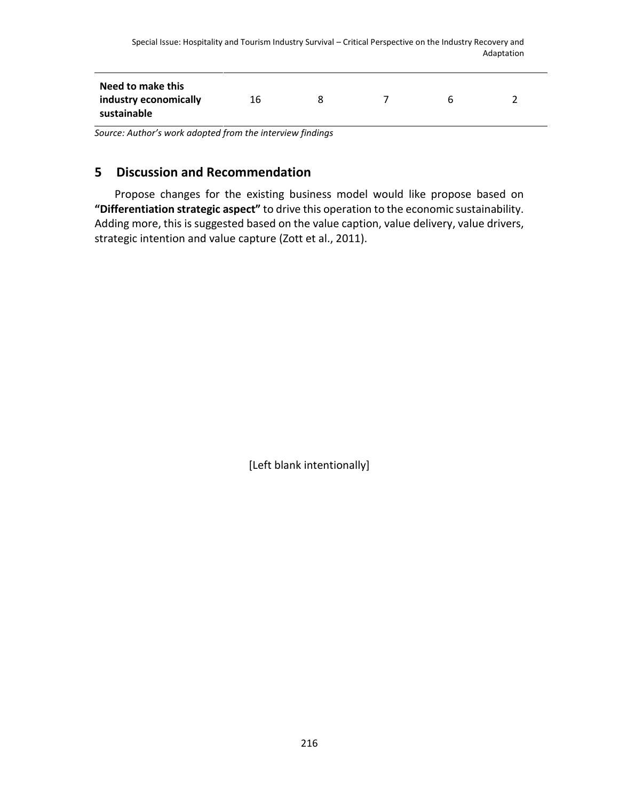| Need to make this<br>industry economically<br>16<br>h<br>sustainable |  |  |  |  |  |  |  |
|----------------------------------------------------------------------|--|--|--|--|--|--|--|
|----------------------------------------------------------------------|--|--|--|--|--|--|--|

*Source: Author's work adopted from the interview findings*

# **5 Discussion and Recommendation**

Propose changes for the existing business model would like propose based on **"Differentiation strategic aspect"** to drive this operation to the economic sustainability. Adding more, this is suggested based on the value caption, value delivery, value drivers, strategic intention and value capture (Zott et al., 2011).

[Left blank intentionally]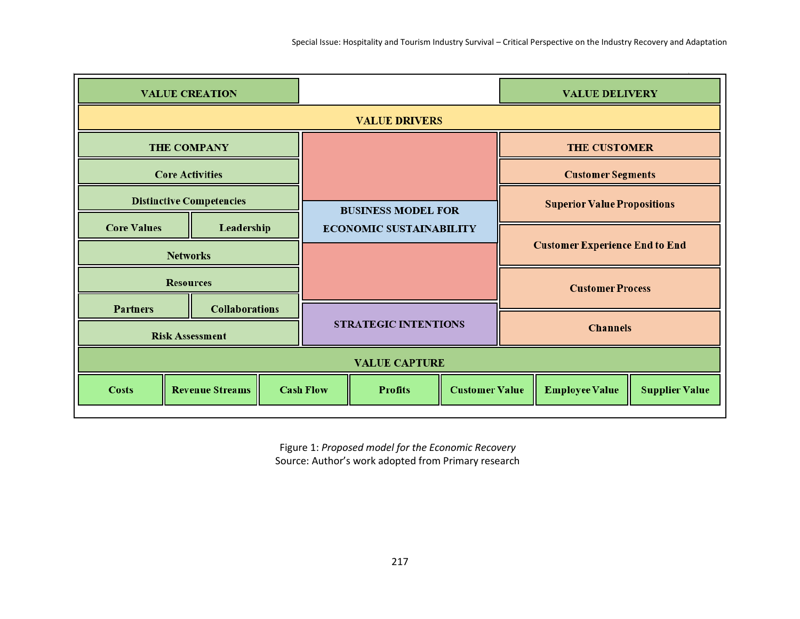| <b>VALUE CREATION</b>           |                        |                             |                                | <b>VALUE DELIVERY</b>                   |                         |                                       |                       |                       |
|---------------------------------|------------------------|-----------------------------|--------------------------------|-----------------------------------------|-------------------------|---------------------------------------|-----------------------|-----------------------|
|                                 |                        |                             |                                | <b>VALUE DRIVERS</b>                    |                         |                                       |                       |                       |
|                                 | <b>THE COMPANY</b>     |                             |                                |                                         |                         |                                       | <b>THE CUSTOMER</b>   |                       |
|                                 | <b>Core Activities</b> |                             |                                |                                         |                         | <b>Customer Segments</b>              |                       |                       |
| <b>Distinctive Competencies</b> |                        |                             |                                | <b>BUSINESS MODEL FOR</b>               |                         | <b>Superior Value Propositions</b>    |                       |                       |
| <b>Core Values</b>              | Leadership             |                             | <b>ECONOMIC SUSTAINABILITY</b> |                                         |                         |                                       |                       |                       |
| <b>Networks</b>                 |                        |                             |                                |                                         |                         | <b>Customer Experience End to End</b> |                       |                       |
| <b>Resources</b>                |                        |                             |                                |                                         | <b>Customer Process</b> |                                       |                       |                       |
| <b>Partners</b>                 | <b>Collaborations</b>  |                             |                                |                                         |                         |                                       |                       |                       |
| <b>Risk Assessment</b>          |                        | <b>STRATEGIC INTENTIONS</b> |                                | <b>Channels</b>                         |                         |                                       |                       |                       |
| <b>VALUE CAPTURE</b>            |                        |                             |                                |                                         |                         |                                       |                       |                       |
| <b>Costs</b>                    | <b>Revenue Streams</b> |                             | <b>Cash Flow</b>               | <b>Customer Value</b><br><b>Profits</b> |                         |                                       | <b>Employee Value</b> | <b>Supplier Value</b> |

Figure 1: *Proposed model for the Economic Recovery* Source: Author's work adopted from Primary research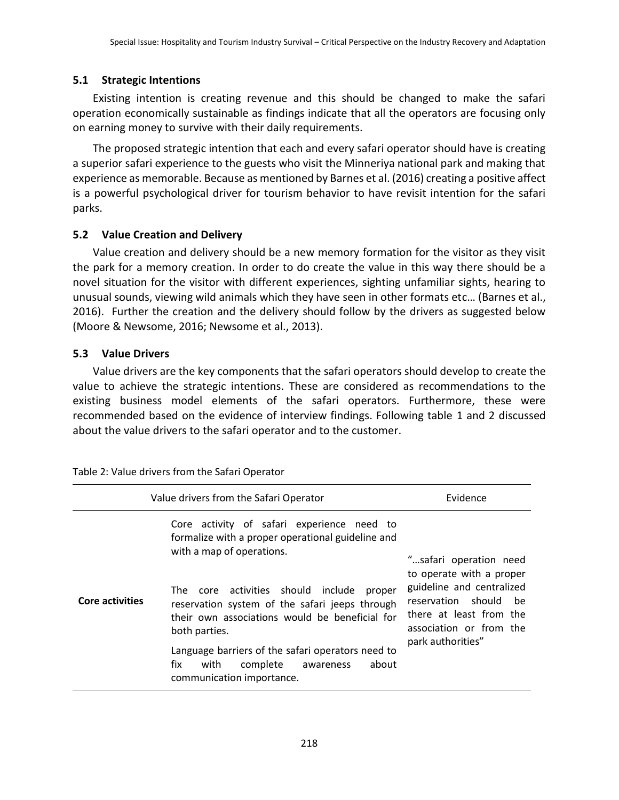#### **5.1 Strategic Intentions**

Existing intention is creating revenue and this should be changed to make the safari operation economically sustainable as findings indicate that all the operators are focusing only on earning money to survive with their daily requirements.

The proposed strategic intention that each and every safari operator should have is creating a superior safari experience to the guests who visit the Minneriya national park and making that experience as memorable. Because as mentioned by Barnes et al. (2016) creating a positive affect is a powerful psychological driver for tourism behavior to have revisit intention for the safari parks.

#### **5.2 Value Creation and Delivery**

Value creation and delivery should be a new memory formation for the visitor as they visit the park for a memory creation. In order to do create the value in this way there should be a novel situation for the visitor with different experiences, sighting unfamiliar sights, hearing to unusual sounds, viewing wild animals which they have seen in other formats etc… (Barnes et al., 2016). Further the creation and the delivery should follow by the drivers as suggested below (Moore & Newsome, 2016; Newsome et al., 2013).

#### **5.3 Value Drivers**

Value drivers are the key components that the safari operators should develop to create the value to achieve the strategic intentions. These are considered as recommendations to the existing business model elements of the safari operators. Furthermore, these were recommended based on the evidence of interview findings. Following table 1 and 2 discussed about the value drivers to the safari operator and to the customer.

| Value drivers from the Safari Operator | Evidence                                                                                                                                                                                                                                                                                                                                                                                                                             |                                                                                                                                                                                        |
|----------------------------------------|--------------------------------------------------------------------------------------------------------------------------------------------------------------------------------------------------------------------------------------------------------------------------------------------------------------------------------------------------------------------------------------------------------------------------------------|----------------------------------------------------------------------------------------------------------------------------------------------------------------------------------------|
| <b>Core activities</b>                 | Core activity of safari experience need to<br>formalize with a proper operational guideline and<br>with a map of operations.<br>The core activities should include<br>proper<br>reservation system of the safari jeeps through<br>their own associations would be beneficial for<br>both parties.<br>Language barriers of the safari operators need to<br>fix<br>complete<br>about<br>with<br>awareness<br>communication importance. | "safari operation need<br>to operate with a proper<br>guideline and centralized<br>reservation should<br>he<br>there at least from the<br>association or from the<br>park authorities" |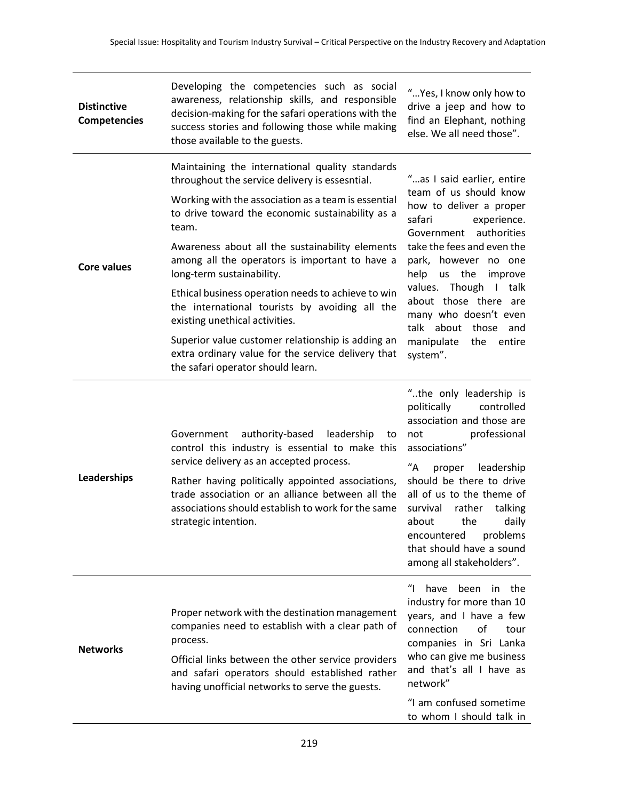| <b>Distinctive</b><br><b>Competencies</b> | Developing the competencies such as social<br>awareness, relationship skills, and responsible<br>decision-making for the safari operations with the<br>success stories and following those while making<br>those available to the guests.                                                                                                                                                                                                                                                                                                                                                                                                         | "Yes, I know only how to<br>drive a jeep and how to<br>find an Elephant, nothing<br>else. We all need those".                                                                                                                                                                                                                                                                  |
|-------------------------------------------|---------------------------------------------------------------------------------------------------------------------------------------------------------------------------------------------------------------------------------------------------------------------------------------------------------------------------------------------------------------------------------------------------------------------------------------------------------------------------------------------------------------------------------------------------------------------------------------------------------------------------------------------------|--------------------------------------------------------------------------------------------------------------------------------------------------------------------------------------------------------------------------------------------------------------------------------------------------------------------------------------------------------------------------------|
| <b>Core values</b>                        | Maintaining the international quality standards<br>throughout the service delivery is essesntial.<br>Working with the association as a team is essential<br>to drive toward the economic sustainability as a<br>team.<br>Awareness about all the sustainability elements<br>among all the operators is important to have a<br>long-term sustainability.<br>Ethical business operation needs to achieve to win<br>the international tourists by avoiding all the<br>existing unethical activities.<br>Superior value customer relationship is adding an<br>extra ordinary value for the service delivery that<br>the safari operator should learn. | "as I said earlier, entire<br>team of us should know<br>how to deliver a proper<br>safari<br>experience.<br>authorities<br>Government<br>take the fees and even the<br>park, however no one<br>help<br>us the<br>improve<br>values. Though I talk<br>about those there are<br>many who doesn't even<br>talk about those and<br>manipulate<br>the<br>entire<br>system".         |
| Leaderships                               | authority-based leadership<br>Government<br>to<br>control this industry is essential to make this<br>service delivery as an accepted process.<br>Rather having politically appointed associations,<br>trade association or an alliance between all the<br>associations should establish to work for the same<br>strategic intention.                                                                                                                                                                                                                                                                                                              | "the only leadership is<br>politically<br>controlled<br>association and those are<br>professional<br>not<br>associations"<br>$^{\prime\prime}$ A<br>leadership<br>proper<br>should be there to drive<br>all of us to the theme of<br>rather<br>survival<br>talking<br>about<br>the<br>daily<br>encountered<br>problems<br>that should have a sound<br>among all stakeholders". |
| <b>Networks</b>                           | Proper network with the destination management<br>companies need to establish with a clear path of<br>process.<br>Official links between the other service providers<br>and safari operators should established rather<br>having unofficial networks to serve the guests.                                                                                                                                                                                                                                                                                                                                                                         | $\mathbf{u}_{\parallel}$<br>have<br>been in the<br>industry for more than 10<br>years, and I have a few<br>connection<br>of<br>tour<br>companies in Sri Lanka<br>who can give me business<br>and that's all I have as<br>network"<br>"I am confused sometime<br>to whom I should talk in                                                                                       |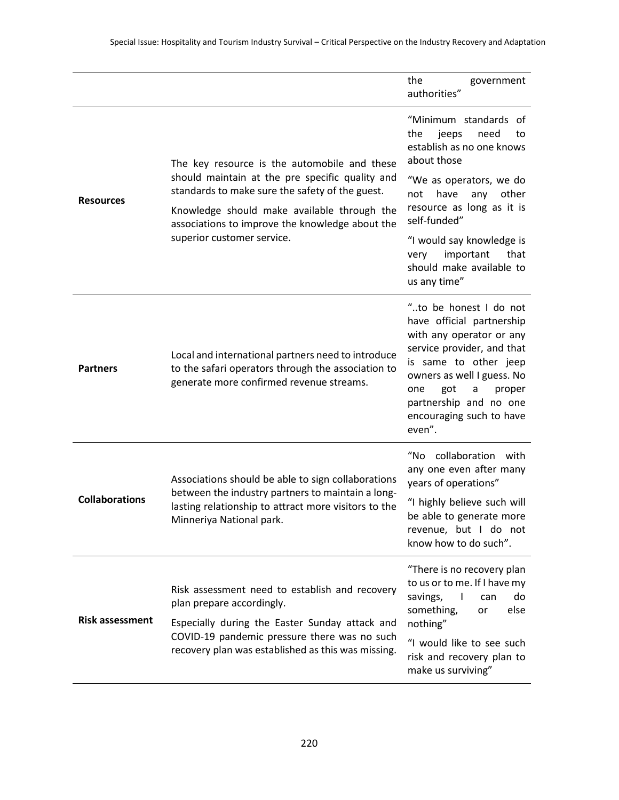|                        |                                                                                                                                                                                                                                                      | the<br>government<br>authorities"                                                                                                                                                                                                                                 |
|------------------------|------------------------------------------------------------------------------------------------------------------------------------------------------------------------------------------------------------------------------------------------------|-------------------------------------------------------------------------------------------------------------------------------------------------------------------------------------------------------------------------------------------------------------------|
| <b>Resources</b>       | The key resource is the automobile and these<br>should maintain at the pre specific quality and<br>standards to make sure the safety of the guest.<br>Knowledge should make available through the<br>associations to improve the knowledge about the | "Minimum standards of<br>jeeps<br>need<br>the<br>to<br>establish as no one knows<br>about those<br>"We as operators, we do<br>have<br>other<br>not<br>any<br>resource as long as it is<br>self-funded"                                                            |
|                        | superior customer service.                                                                                                                                                                                                                           | "I would say knowledge is<br>important<br>that<br>very<br>should make available to<br>us any time"                                                                                                                                                                |
| <b>Partners</b>        | Local and international partners need to introduce<br>to the safari operators through the association to<br>generate more confirmed revenue streams.                                                                                                 | "to be honest I do not<br>have official partnership<br>with any operator or any<br>service provider, and that<br>is same to other jeep<br>owners as well I guess. No<br>got<br>proper<br>one<br>a<br>partnership and no one<br>encouraging such to have<br>even". |
| <b>Collaborations</b>  | Associations should be able to sign collaborations<br>between the industry partners to maintain a long-<br>lasting relationship to attract more visitors to the<br>Minneriya National park.                                                          | "No collaboration with<br>any one even after many<br>years of operations"<br>"I highly believe such will<br>be able to generate more<br>revenue, but I do not<br>know how to do such".                                                                            |
| <b>Risk assessment</b> | Risk assessment need to establish and recovery<br>plan prepare accordingly.<br>Especially during the Easter Sunday attack and<br>COVID-19 pandemic pressure there was no such<br>recovery plan was established as this was missing.                  | "There is no recovery plan<br>to us or to me. If I have my<br>savings,<br>$\mathbf{I}$<br>do<br>can<br>something,<br>else<br>or<br>nothing"<br>"I would like to see such<br>risk and recovery plan to<br>make us surviving"                                       |
|                        |                                                                                                                                                                                                                                                      |                                                                                                                                                                                                                                                                   |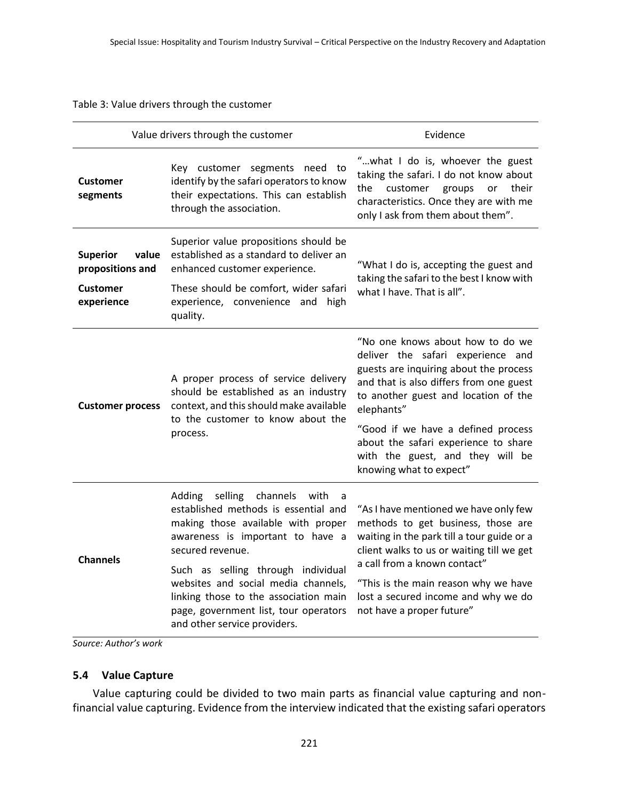#### Table 3: Value drivers through the customer

|                                                                               | Value drivers through the customer                                                                                                                                                                                                                                                                                                                                             | Evidence                                                                                                                                                                                                                                                                                                                                                      |  |  |
|-------------------------------------------------------------------------------|--------------------------------------------------------------------------------------------------------------------------------------------------------------------------------------------------------------------------------------------------------------------------------------------------------------------------------------------------------------------------------|---------------------------------------------------------------------------------------------------------------------------------------------------------------------------------------------------------------------------------------------------------------------------------------------------------------------------------------------------------------|--|--|
| <b>Customer</b><br>segments                                                   | Key customer segments need to<br>identify by the safari operators to know<br>their expectations. This can establish<br>through the association.                                                                                                                                                                                                                                | "what I do is, whoever the guest<br>taking the safari. I do not know about<br>customer groups<br>the<br>or<br>their<br>characteristics. Once they are with me<br>only I ask from them about them".                                                                                                                                                            |  |  |
| value<br><b>Superior</b><br>propositions and<br><b>Customer</b><br>experience | Superior value propositions should be<br>established as a standard to deliver an<br>enhanced customer experience.<br>These should be comfort, wider safari<br>experience, convenience and<br>high<br>quality.                                                                                                                                                                  | "What I do is, accepting the guest and<br>taking the safari to the best I know with<br>what I have. That is all".                                                                                                                                                                                                                                             |  |  |
| <b>Customer process</b>                                                       | A proper process of service delivery<br>should be established as an industry<br>context, and this should make available<br>to the customer to know about the<br>process.                                                                                                                                                                                                       | "No one knows about how to do we<br>deliver the safari experience and<br>guests are inquiring about the process<br>and that is also differs from one guest<br>to another guest and location of the<br>elephants"<br>"Good if we have a defined process<br>about the safari experience to share<br>with the guest, and they will be<br>knowing what to expect" |  |  |
| <b>Channels</b>                                                               | selling channels<br>Adding<br>with<br>a -<br>established methods is essential and<br>making those available with proper<br>awareness is important to have a<br>secured revenue.<br>Such as selling through individual<br>websites and social media channels,<br>linking those to the association main<br>page, government list, tour operators<br>and other service providers. | "As I have mentioned we have only few<br>methods to get business, those are<br>waiting in the park till a tour guide or a<br>client walks to us or waiting till we get<br>a call from a known contact"<br>"This is the main reason why we have<br>lost a secured income and why we do<br>not have a proper future"                                            |  |  |

*Source: Author's work* 

#### **5.4 Value Capture**

Value capturing could be divided to two main parts as financial value capturing and nonfinancial value capturing. Evidence from the interview indicated that the existing safari operators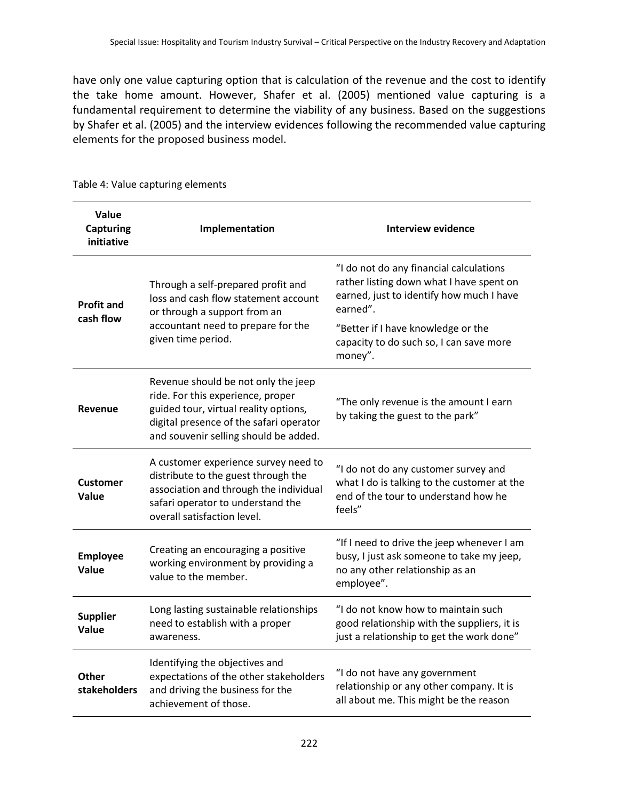have only one value capturing option that is calculation of the revenue and the cost to identify the take home amount. However, Shafer et al. (2005) mentioned value capturing is a fundamental requirement to determine the viability of any business. Based on the suggestions by Shafer et al. (2005) and the interview evidences following the recommended value capturing elements for the proposed business model.

| Value<br><b>Capturing</b><br>initiative | Implementation                                                                                                                                                                                        | <b>Interview evidence</b>                                                                                                                   |  |  |
|-----------------------------------------|-------------------------------------------------------------------------------------------------------------------------------------------------------------------------------------------------------|---------------------------------------------------------------------------------------------------------------------------------------------|--|--|
| <b>Profit and</b>                       | Through a self-prepared profit and<br>loss and cash flow statement account<br>or through a support from an                                                                                            | "I do not do any financial calculations<br>rather listing down what I have spent on<br>earned, just to identify how much I have<br>earned". |  |  |
| cash flow                               | accountant need to prepare for the<br>given time period.                                                                                                                                              | "Better if I have knowledge or the<br>capacity to do such so, I can save more<br>money".                                                    |  |  |
| Revenue                                 | Revenue should be not only the jeep<br>ride. For this experience, proper<br>guided tour, virtual reality options,<br>digital presence of the safari operator<br>and souvenir selling should be added. | "The only revenue is the amount I earn<br>by taking the guest to the park"                                                                  |  |  |
| <b>Customer</b><br>Value                | A customer experience survey need to<br>distribute to the guest through the<br>association and through the individual<br>safari operator to understand the<br>overall satisfaction level.             | "I do not do any customer survey and<br>what I do is talking to the customer at the<br>end of the tour to understand how he<br>feels"       |  |  |
| <b>Employee</b><br>Value                | Creating an encouraging a positive<br>working environment by providing a<br>value to the member.                                                                                                      | "If I need to drive the jeep whenever I am<br>busy, I just ask someone to take my jeep,<br>no any other relationship as an<br>employee".    |  |  |
| <b>Supplier</b><br>Value                | Long lasting sustainable relationships<br>need to establish with a proper<br>awareness.                                                                                                               | "I do not know how to maintain such<br>good relationship with the suppliers, it is<br>just a relationship to get the work done"             |  |  |
| Other<br>stakeholders                   | Identifying the objectives and<br>expectations of the other stakeholders<br>and driving the business for the<br>achievement of those.                                                                 | "I do not have any government<br>relationship or any other company. It is<br>all about me. This might be the reason                         |  |  |

Table 4: Value capturing elements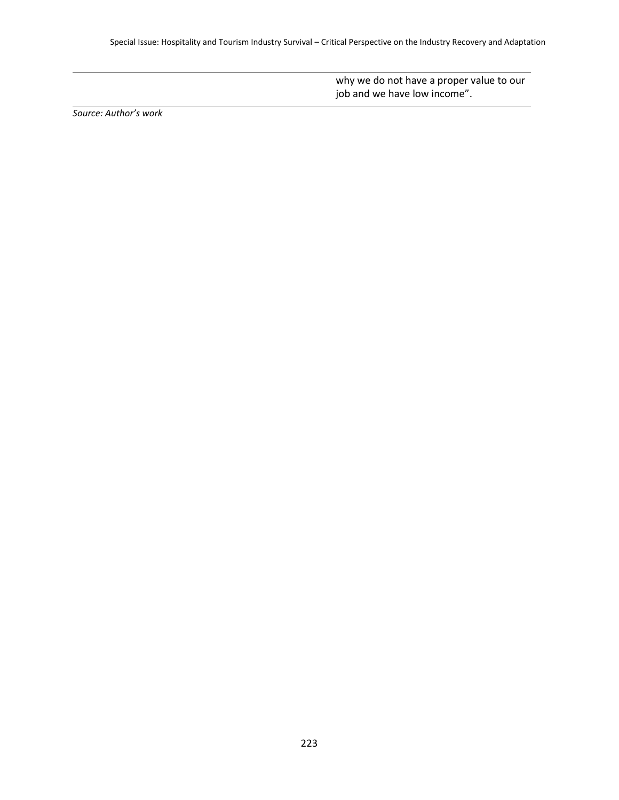why we do not have a proper value to our job and we have low income".

*Source: Author's work*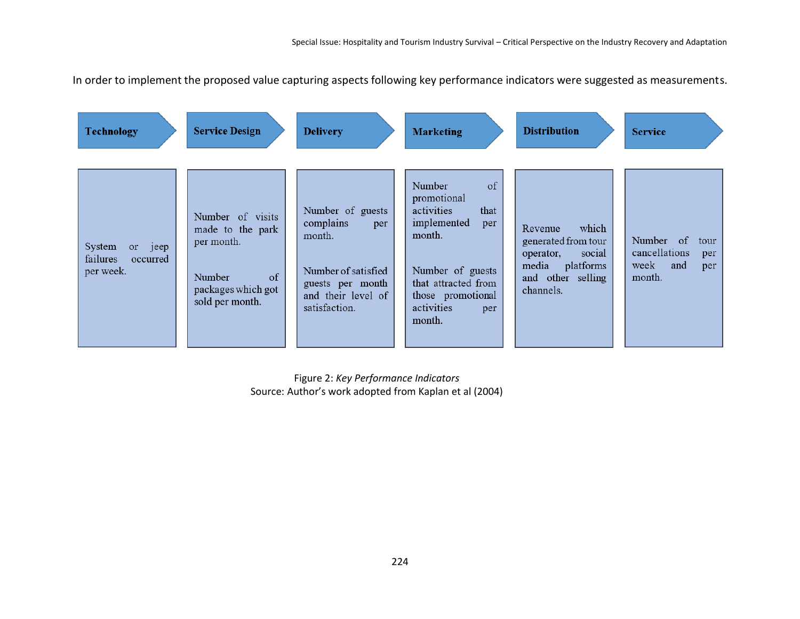In order to implement the proposed value capturing aspects following key performance indicators were suggested as measurements.

| <b>Technology</b>                                      | <b>Service Design</b>                                                                                             | <b>Delivery</b>                                                                                                                  | <b>Marketing</b>                                                                                                                                                                 | <b>Distribution</b>                                                                                                    | <b>Service</b>                                                            |
|--------------------------------------------------------|-------------------------------------------------------------------------------------------------------------------|----------------------------------------------------------------------------------------------------------------------------------|----------------------------------------------------------------------------------------------------------------------------------------------------------------------------------|------------------------------------------------------------------------------------------------------------------------|---------------------------------------------------------------------------|
| System<br>or jeep<br>failures<br>occurred<br>per week. | Number of visits<br>made to the park<br>per month.<br>$\sigma$<br>Number<br>packages which got<br>sold per month. | Number of guests<br>complains<br>per<br>month.<br>Number of satisfied<br>guests per month<br>and their level of<br>satisfaction. | Number<br>of<br>promotional<br>activities<br>that<br>implemented<br>per<br>month.<br>Number of guests<br>that attracted from<br>those promotional<br>activities<br>per<br>month. | which<br>Revenue<br>generated from tour<br>social<br>operator,<br>media<br>platforms<br>and other selling<br>channels. | Number of<br>tour<br>cancellations<br>per<br>week<br>and<br>per<br>month. |

Figure 2: *Key Performance Indicators* Source: Author's work adopted from Kaplan et al (2004)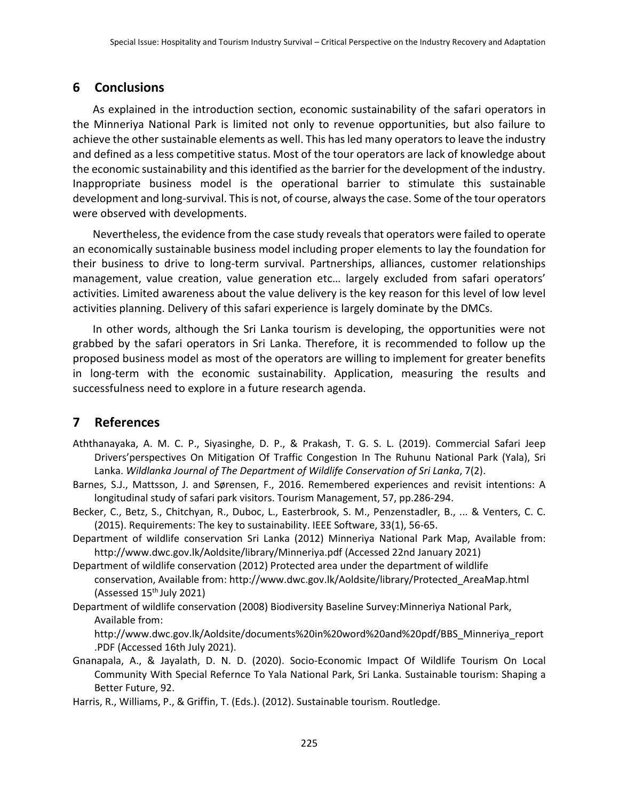## **6 Conclusions**

As explained in the introduction section, economic sustainability of the safari operators in the Minneriya National Park is limited not only to revenue opportunities, but also failure to achieve the other sustainable elements as well. This has led many operators to leave the industry and defined as a less competitive status. Most of the tour operators are lack of knowledge about the economic sustainability and this identified as the barrier for the development of the industry. Inappropriate business model is the operational barrier to stimulate this sustainable development and long-survival. This is not, of course, always the case. Some of the tour operators were observed with developments.

Nevertheless, the evidence from the case study reveals that operators were failed to operate an economically sustainable business model including proper elements to lay the foundation for their business to drive to long-term survival. Partnerships, alliances, customer relationships management, value creation, value generation etc… largely excluded from safari operators' activities. Limited awareness about the value delivery is the key reason for this level of low level activities planning. Delivery of this safari experience is largely dominate by the DMCs.

In other words, although the Sri Lanka tourism is developing, the opportunities were not grabbed by the safari operators in Sri Lanka. Therefore, it is recommended to follow up the proposed business model as most of the operators are willing to implement for greater benefits in long-term with the economic sustainability. Application, measuring the results and successfulness need to explore in a future research agenda.

# **7 References**

- Aththanayaka, A. M. C. P., Siyasinghe, D. P., & Prakash, T. G. S. L. (2019). Commercial Safari Jeep Drivers'perspectives On Mitigation Of Traffic Congestion In The Ruhunu National Park (Yala), Sri Lanka. *Wildlanka Journal of The Department of Wildlife Conservation of Sri Lanka*, 7(2).
- Barnes, S.J., Mattsson, J. and Sørensen, F., 2016. Remembered experiences and revisit intentions: A longitudinal study of safari park visitors. Tourism Management, 57, pp.286-294.
- Becker, C., Betz, S., Chitchyan, R., Duboc, L., Easterbrook, S. M., Penzenstadler, B., ... & Venters, C. C. (2015). Requirements: The key to sustainability. IEEE Software, 33(1), 56-65.
- Department of wildlife conservation Sri Lanka (2012) Minneriya National Park Map, Available from: http://www.dwc.gov.lk/Aoldsite/library/Minneriya.pdf (Accessed 22nd January 2021)
- Department of wildlife conservation (2012) Protected area under the department of wildlife conservation, Available from: [http://www.dwc.gov.lk/Aoldsite/library/Protected\\_AreaMap.html](http://www.dwc.gov.lk/Aoldsite/library/Protected_AreaMap.html) (Assessed  $15<sup>th</sup>$  July 2021)
- Department of wildlife conservation (2008) Biodiversity Baseline Survey:Minneriya National Park, Available from:

[http://www.dwc.gov.lk/Aoldsite/documents%20in%20word%20and%20pdf/BBS\\_Minneriya\\_report](http://www.dwc.gov.lk/Aoldsite/documents%20in%20word%20and%20pdf/BBS_Minneriya_report.PDF) [.PDF](http://www.dwc.gov.lk/Aoldsite/documents%20in%20word%20and%20pdf/BBS_Minneriya_report.PDF) (Accessed 16th July 2021).

Gnanapala, A., & Jayalath, D. N. D. (2020). Socio-Economic Impact Of Wildlife Tourism On Local Community With Special Refernce To Yala National Park, Sri Lanka. Sustainable tourism: Shaping a Better Future, 92.

Harris, R., Williams, P., & Griffin, T. (Eds.). (2012). Sustainable tourism. Routledge.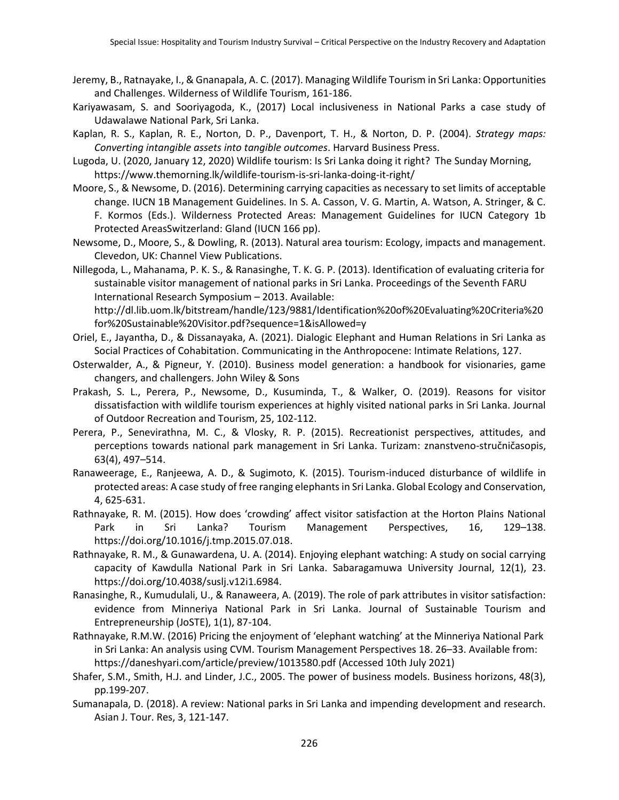- Jeremy, B., Ratnayake, I., & Gnanapala, A. C. (2017). Managing Wildlife Tourism in Sri Lanka: Opportunities and Challenges. Wilderness of Wildlife Tourism, 161-186.
- Kariyawasam, S. and Sooriyagoda, K., (2017) Local inclusiveness in National Parks a case study of Udawalawe National Park, Sri Lanka.
- Kaplan, R. S., Kaplan, R. E., Norton, D. P., Davenport, T. H., & Norton, D. P. (2004). *Strategy maps: Converting intangible assets into tangible outcomes*. Harvard Business Press.
- Lugoda, U. (2020, January 12, 2020) Wildlife tourism: Is Sri Lanka doing it right? The Sunday Morning, <https://www.themorning.lk/wildlife-tourism-is-sri-lanka-doing-it-right/>
- Moore, S., & Newsome, D. (2016). Determining carrying capacities as necessary to set limits of acceptable change. IUCN 1B Management Guidelines. In S. A. Casson, V. G. Martin, A. Watson, A. Stringer, & C. F. Kormos (Eds.). Wilderness Protected Areas: Management Guidelines for IUCN Category 1b Protected AreasSwitzerland: Gland (IUCN 166 pp).
- Newsome, D., Moore, S., & Dowling, R. (2013). Natural area tourism: Ecology, impacts and management. Clevedon, UK: Channel View Publications.

Nillegoda, L., Mahanama, P. K. S., & Ranasinghe, T. K. G. P. (2013). Identification of evaluating criteria for sustainable visitor management of national parks in Sri Lanka. Proceedings of the Seventh FARU International Research Symposium – 2013. Available: http://dl.lib.uom.lk/bitstream/handle/123/9881/Identification%20of%20Evaluating%20Criteria%20 for%20Sustainable%20Visitor.pdf?sequence=1&isAllowed=y

- Oriel, E., Jayantha, D., & Dissanayaka, A. (2021). Dialogic Elephant and Human Relations in Sri Lanka as Social Practices of Cohabitation. Communicating in the Anthropocene: Intimate Relations, 127.
- Osterwalder, A., & Pigneur, Y. (2010). Business model generation: a handbook for visionaries, game changers, and challengers. John Wiley & Sons
- Prakash, S. L., Perera, P., Newsome, D., Kusuminda, T., & Walker, O. (2019). Reasons for visitor dissatisfaction with wildlife tourism experiences at highly visited national parks in Sri Lanka. Journal of Outdoor Recreation and Tourism, 25, 102-112.
- Perera, P., Senevirathna, M. C., & Vlosky, R. P. (2015). Recreationist perspectives, attitudes, and perceptions towards national park management in Sri Lanka. Turizam: znanstveno-stručničasopis, 63(4), 497–514.
- Ranaweerage, E., Ranjeewa, A. D., & Sugimoto, K. (2015). Tourism-induced disturbance of wildlife in protected areas: A case study of free ranging elephants in Sri Lanka. Global Ecology and Conservation, 4, 625-631.
- Rathnayake, R. M. (2015). How does 'crowding' affect visitor satisfaction at the Horton Plains National Park in Sri Lanka? Tourism Management Perspectives, 16, 129–138. https://doi.org/10.1016/j.tmp.2015.07.018.
- Rathnayake, R. M., & Gunawardena, U. A. (2014). Enjoying elephant watching: A study on social carrying capacity of Kawdulla National Park in Sri Lanka. Sabaragamuwa University Journal, 12(1), 23. https://doi.org/10.4038/suslj.v12i1.6984.
- Ranasinghe, R., Kumudulali, U., & Ranaweera, A. (2019). The role of park attributes in visitor satisfaction: evidence from Minneriya National Park in Sri Lanka. Journal of Sustainable Tourism and Entrepreneurship (JoSTE), 1(1), 87-104.
- Rathnayake, R.M.W. (2016) Pricing the enjoyment of 'elephant watching' at the Minneriya National Park in Sri Lanka: An analysis using CVM. Tourism Management Perspectives 18. 26–33. Available from: <https://daneshyari.com/article/preview/1013580.pdf> (Accessed 10th July 2021)
- Shafer, S.M., Smith, H.J. and Linder, J.C., 2005. The power of business models. Business horizons, 48(3), pp.199-207.
- Sumanapala, D. (2018). A review: National parks in Sri Lanka and impending development and research. Asian J. Tour. Res, 3, 121-147.